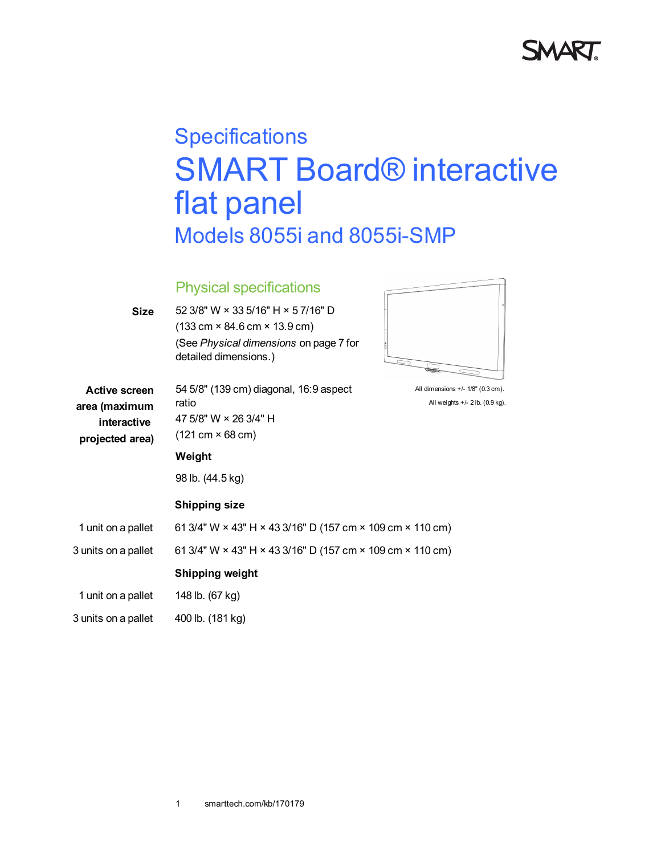

# **Specifications** SMART Board® interactive flat panel Models 8055i and 8055i-SMP

## Physical specifications

| <b>Size</b>          | 52 3/8" W × 33 5/16" H × 5 7/16" D                                                    |                                   |
|----------------------|---------------------------------------------------------------------------------------|-----------------------------------|
|                      | $(133 \text{ cm} \times 84.6 \text{ cm} \times 13.9 \text{ cm})$                      |                                   |
|                      | (See Physical dimensions on page 7 for<br>detailed dimensions.)                       |                                   |
| <b>Active screen</b> | 54 5/8" (139 cm) diagonal, 16:9 aspect                                                | All dimensions +/- 1/8" (0.3 cm). |
| area (maximum        | ratio                                                                                 | All weights +/- 2 lb. (0.9 kg).   |
| interactive          | 47 5/8" W × 26 3/4" H                                                                 |                                   |
| projected area)      | $(121 \text{ cm} \times 68 \text{ cm})$                                               |                                   |
|                      | Weight                                                                                |                                   |
|                      | 98 lb. (44.5 kg)                                                                      |                                   |
|                      | <b>Shipping size</b>                                                                  |                                   |
| 1 unit on a pallet   | 61 3/4" W × 43" H × 43 3/16" D (157 cm × 109 cm × 110 cm)                             |                                   |
| 3 units on a pallet  | 61 3/4" W $\times$ 43" H $\times$ 43 3/16" D (157 cm $\times$ 109 cm $\times$ 110 cm) |                                   |
|                      | <b>Shipping weight</b>                                                                |                                   |
| 1 unit on a pallet   | 148 lb. (67 kg)                                                                       |                                   |
| 3 units on a pallet  | 400 lb. (181 kg)                                                                      |                                   |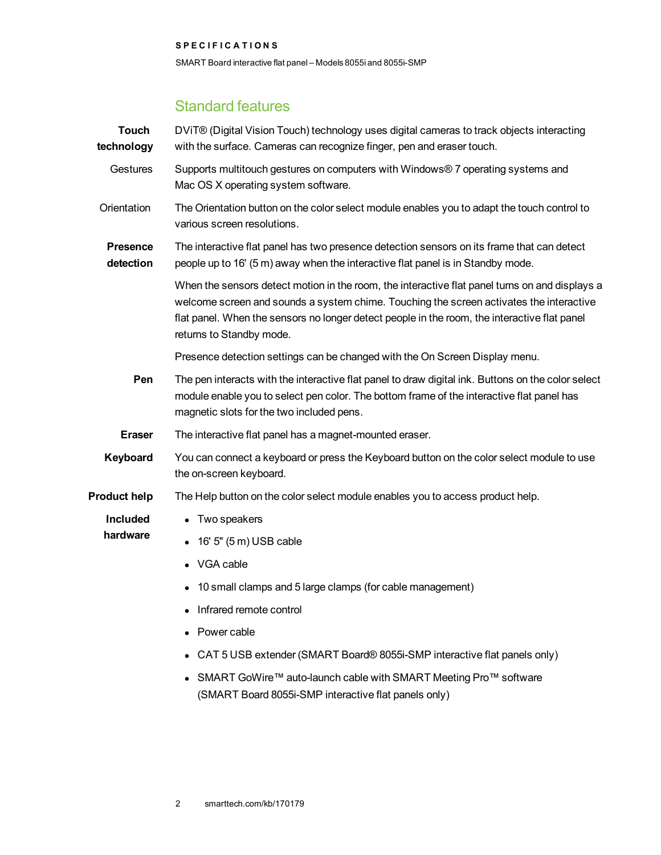SMART Board interactive flat panel – Models 8055i and 8055i-SMP

## Standard features

| <b>Touch</b><br>technology   | DVIT® (Digital Vision Touch) technology uses digital cameras to track objects interacting<br>with the surface. Cameras can recognize finger, pen and eraser touch.                                                                                                                                                    |
|------------------------------|-----------------------------------------------------------------------------------------------------------------------------------------------------------------------------------------------------------------------------------------------------------------------------------------------------------------------|
| Gestures                     | Supports multitouch gestures on computers with Windows® 7 operating systems and<br>Mac OS X operating system software.                                                                                                                                                                                                |
| Orientation                  | The Orientation button on the color select module enables you to adapt the touch control to<br>various screen resolutions.                                                                                                                                                                                            |
| <b>Presence</b><br>detection | The interactive flat panel has two presence detection sensors on its frame that can detect<br>people up to 16' (5 m) away when the interactive flat panel is in Standby mode.                                                                                                                                         |
|                              | When the sensors detect motion in the room, the interactive flat panel turns on and displays a<br>welcome screen and sounds a system chime. Touching the screen activates the interactive<br>flat panel. When the sensors no longer detect people in the room, the interactive flat panel<br>returns to Standby mode. |
|                              | Presence detection settings can be changed with the On Screen Display menu.                                                                                                                                                                                                                                           |
| Pen                          | The pen interacts with the interactive flat panel to draw digital ink. Buttons on the color select<br>module enable you to select pen color. The bottom frame of the interactive flat panel has<br>magnetic slots for the two included pens.                                                                          |
| <b>Eraser</b>                | The interactive flat panel has a magnet-mounted eraser.                                                                                                                                                                                                                                                               |
| Keyboard                     | You can connect a keyboard or press the Keyboard button on the color select module to use<br>the on-screen keyboard.                                                                                                                                                                                                  |
| <b>Product help</b>          | The Help button on the color select module enables you to access product help.                                                                                                                                                                                                                                        |
| Included<br>hardware         | • Two speakers                                                                                                                                                                                                                                                                                                        |
|                              | 16' 5" (5 m) USB cable                                                                                                                                                                                                                                                                                                |
|                              | VGA cable                                                                                                                                                                                                                                                                                                             |
|                              | 10 small clamps and 5 large clamps (for cable management)                                                                                                                                                                                                                                                             |
|                              |                                                                                                                                                                                                                                                                                                                       |
|                              | Infrared remote control                                                                                                                                                                                                                                                                                               |
|                              | Power cable                                                                                                                                                                                                                                                                                                           |
|                              | CAT 5 USB extender (SMART Board® 8055i-SMP interactive flat panels only)                                                                                                                                                                                                                                              |
|                              | SMART GoWire™ auto-launch cable with SMART Meeting Pro™ software<br>(SMART Board 8055i-SMP interactive flat panels only)                                                                                                                                                                                              |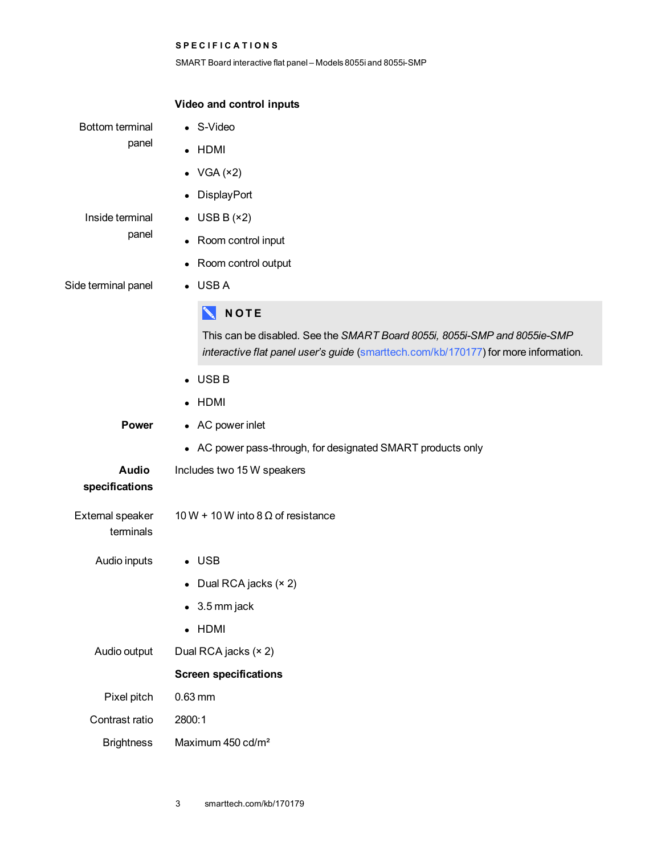SMART Board interactive flat panel – Models 8055i and 8055i-SMP

|                                 | Video and control inputs                                                                                                                                         |
|---------------------------------|------------------------------------------------------------------------------------------------------------------------------------------------------------------|
| <b>Bottom terminal</b><br>panel | • S-Video                                                                                                                                                        |
|                                 | • HDMI                                                                                                                                                           |
|                                 | • $VGA(x2)$                                                                                                                                                      |
|                                 | DisplayPort                                                                                                                                                      |
| Inside terminal<br>panel        | $\bullet$ USB B (×2)                                                                                                                                             |
|                                 | Room control input                                                                                                                                               |
|                                 | Room control output<br>$\bullet$                                                                                                                                 |
| Side terminal panel             | $\bullet$ USBA                                                                                                                                                   |
|                                 | <b>NOTE</b>                                                                                                                                                      |
|                                 | This can be disabled. See the SMART Board 8055i, 8055i-SMP and 8055ie-SMP<br>interactive flat panel user's guide (smarttech.com/kb/170177) for more information. |
|                                 | $\bullet$ USB B                                                                                                                                                  |
|                                 | • HDMI                                                                                                                                                           |
| Power                           | • AC power inlet                                                                                                                                                 |
|                                 | • AC power pass-through, for designated SMART products only                                                                                                      |
| <b>Audio</b><br>specifications  | Includes two 15 W speakers                                                                                                                                       |
| External speaker<br>terminals   | 10 W + 10 W into 8 $\Omega$ of resistance                                                                                                                        |
| Audio inputs                    | $\bullet$ USB                                                                                                                                                    |
|                                 | Dual RCA jacks (× 2)                                                                                                                                             |
|                                 | 3.5 mm jack                                                                                                                                                      |
|                                 | $\bullet$ HDMI                                                                                                                                                   |
| Audio output                    | Dual RCA jacks (× 2)                                                                                                                                             |
|                                 | <b>Screen specifications</b>                                                                                                                                     |
| Pixel pitch                     | $0.63$ mm                                                                                                                                                        |
| Contrast ratio                  | 2800:1                                                                                                                                                           |
| <b>Brightness</b>               | Maximum 450 cd/m <sup>2</sup>                                                                                                                                    |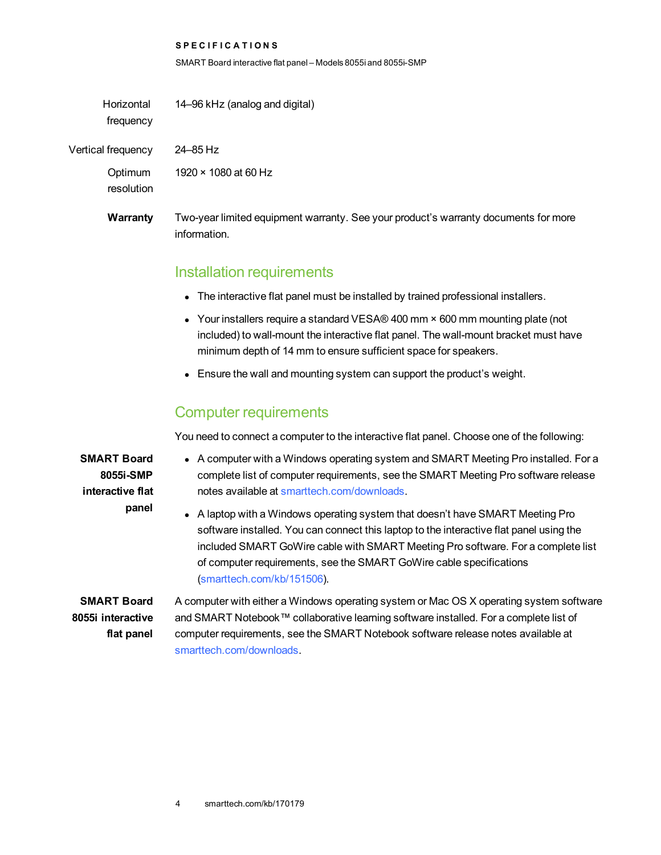SMART Board interactive flat panel – Models 8055i and 8055i-SMP

| Horizontal<br>frequency | 14–96 kHz (analog and digital)                                                                      |
|-------------------------|-----------------------------------------------------------------------------------------------------|
| Vertical frequency      | 24–85 Hz                                                                                            |
| Optimum<br>resolution   | 1920 $\times$ 1080 at 60 Hz                                                                         |
| Warranty                | Two-year limited equipment warranty. See your product's warranty documents for more<br>information. |

#### Installation requirements

- The interactive flat panel must be installed by trained professional installers.
- Your installers require a standard VESA® 400 mm  $\times$  600 mm mounting plate (not included) to wall-mount the interactive flat panel. The wall-mount bracket must have minimum depth of 14 mm to ensure sufficient space for speakers.
- Ensure the wall and mounting system can support the product's weight.

#### Computer requirements

You need to connect a computer to the interactive flat panel. Choose one of the following:

**SMART Board 8055i-SMP interactive flat panel**

- A computer with a Windows operating system and SMART Meeting Pro installed. For a complete list of computer requirements, see the SMART Meeting Pro software release notes available at [smarttech.com/downloads](http://www.smarttech.com/downloads).
- A laptop with a Windows operating system that doesn't have SMART Meeting Pro software installed. You can connect this laptop to the interactive flat panel using the included SMART GoWire cable with SMART Meeting Pro software. For a complete list of computer requirements, see the SMART GoWire cable specifications [\(smarttech.com/kb/151506](http://www.smarttech.com/kb/151506)).

**SMART Board 8055i interactive flat panel**

A computer with either a Windows operating system or Mac OS X operating system software and SMART Notebook™ collaborative learning software installed. For a complete list of computer requirements, see the SMART Notebook software release notes available at [smarttech.com/downloads.](http://www.smarttech.com/downloads)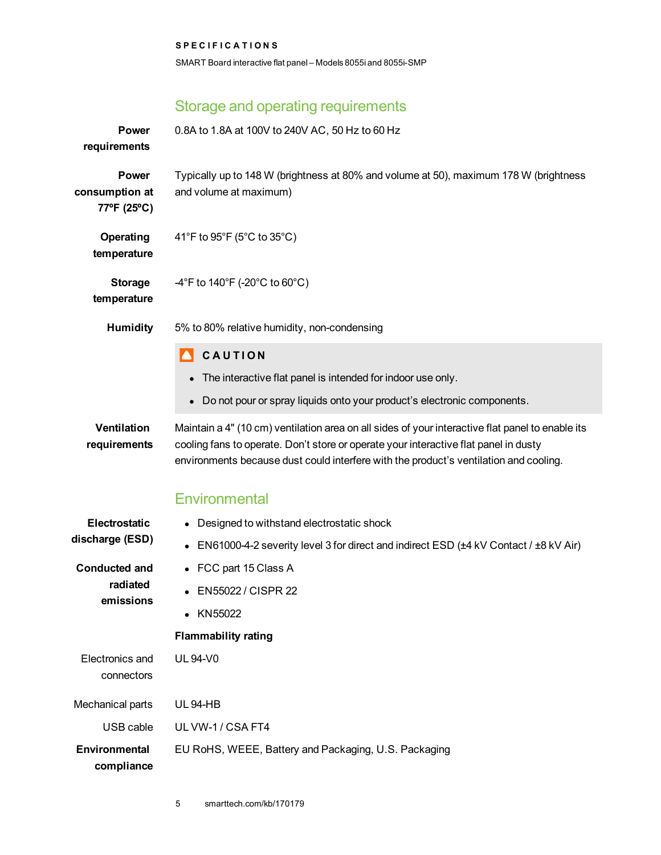SMART Board interactive flat panel – Models 8055i and 8055i-SMP

## Storage and operating requirements

| <b>Power</b><br>requirements                  | 0.8A to 1.8A at 100V to 240V AC, 50 Hz to 60 Hz                                                                                                                                                                                                                                   |
|-----------------------------------------------|-----------------------------------------------------------------------------------------------------------------------------------------------------------------------------------------------------------------------------------------------------------------------------------|
| <b>Power</b><br>consumption at<br>77°F (25°C) | Typically up to 148 W (brightness at 80% and volume at 50), maximum 178 W (brightness<br>and volume at maximum)                                                                                                                                                                   |
| Operating<br>temperature                      | 41°F to 95°F (5°C to 35°C)                                                                                                                                                                                                                                                        |
| <b>Storage</b><br>temperature                 | $-4^{\circ}$ F to 140 $^{\circ}$ F (-20 $^{\circ}$ C to 60 $^{\circ}$ C)                                                                                                                                                                                                          |
| <b>Humidity</b>                               | 5% to 80% relative humidity, non-condensing                                                                                                                                                                                                                                       |
|                                               | CAUTION                                                                                                                                                                                                                                                                           |
|                                               | The interactive flat panel is intended for indoor use only.                                                                                                                                                                                                                       |
|                                               | • Do not pour or spray liquids onto your product's electronic components.                                                                                                                                                                                                         |
| <b>Ventilation</b><br>requirements            | Maintain a 4" (10 cm) ventilation area on all sides of your interactive flat panel to enable its<br>cooling fans to operate. Don't store or operate your interactive flat panel in dusty<br>environments because dust could interfere with the product's ventilation and cooling. |
|                                               | Environmental                                                                                                                                                                                                                                                                     |
| Electrostatic                                 | • Designed to withstand electrostatic shock                                                                                                                                                                                                                                       |
| discharge (ESD)                               | EN61000-4-2 severity level 3 for direct and indirect ESD (±4 kV Contact / ±8 kV Air)                                                                                                                                                                                              |
| <b>Conducted and</b><br>radiated<br>emissions | • FCC part 15 Class A                                                                                                                                                                                                                                                             |
|                                               | EN55022 / CISPR 22                                                                                                                                                                                                                                                                |
|                                               | • KN55022                                                                                                                                                                                                                                                                         |
|                                               | <b>Flammability rating</b>                                                                                                                                                                                                                                                        |
| Electronics and<br>connectors                 | <b>UL 94-V0</b>                                                                                                                                                                                                                                                                   |
| Mechanical parts                              | <b>UL 94-HB</b>                                                                                                                                                                                                                                                                   |
| USB cable                                     | UL VW-1 / CSA FT4                                                                                                                                                                                                                                                                 |
| <b>Environmental</b><br>compliance            | EU RoHS, WEEE, Battery and Packaging, U.S. Packaging                                                                                                                                                                                                                              |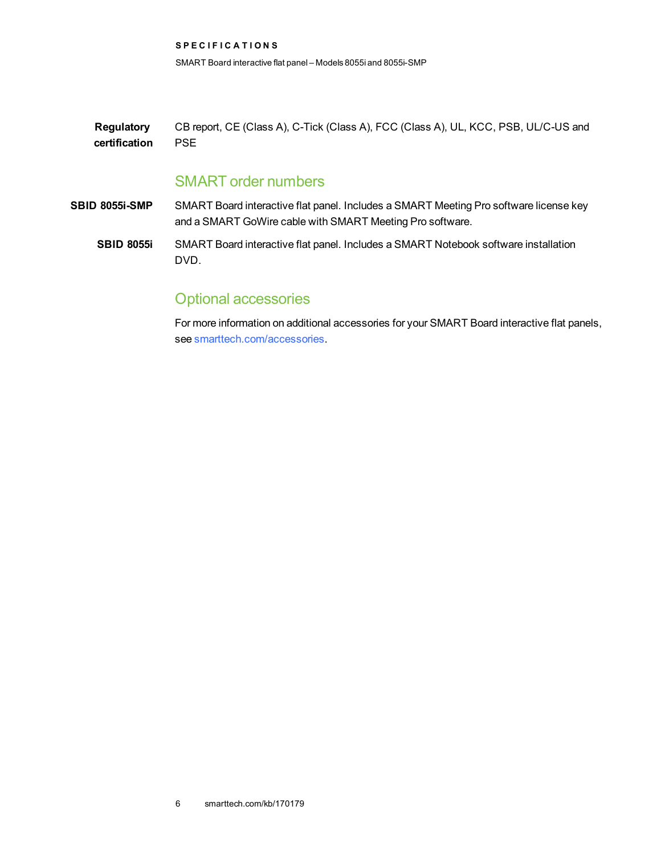**S P E C I F I C A T I O N S** SMART Board interactive flat panel – Models 8055i and 8055i-SMP

**Regulatory certification** CB report, CE (Class A), C-Tick (Class A), FCC (Class A), UL, KCC, PSB, UL/C-US and PSE

## SMART order numbers

**SBID 8055i-SMP** SMART Board interactive flat panel. Includes a SMART Meeting Pro software license key and a SMART GoWire cable with SMART Meeting Pro software.

**SBID 8055i** SMART Board interactive flat panel. Includes a SMART Notebook software installation DVD.

## Optional accessories

For more information on additional accessories for your SMART Board interactive flat panels, see [smarttech.com/accessories.](http://www.smarttech.com/accessories)